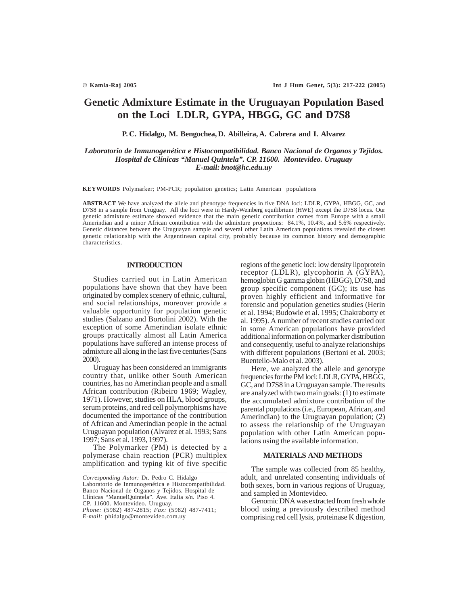# **Genetic Admixture Estimate in the Uruguayan Population Based on the Loci LDLR, GYPA, HBGG, GC and D7S8**

**P. C. Hidalgo, M. Bengochea, D. Abilleira, A. Cabrera and I. Alvarez**

*Laboratorio de Inmunogenética e Histocompatibilidad. Banco Nacional de Organos y Tejidos. Hospital de Clínicas "Manuel Quintela". CP. 11600. Montevideo. Uruguay E-mail: bnot@hc.edu.uy*

**KEYWORDS** Polymarker; PM-PCR; population genetics; Latin American populations

**ABSTRACT** We have analyzed the allele and phenotype frequencies in five DNA loci: LDLR, GYPA, HBGG, GC, and D7S8 in a sample from Uruguay. All the loci were in Hardy-Weinberg equilibrium (HWE) except the D7S8 locus. Our genetic admixture estimate showed evidence that the main genetic contribution comes from Europe with a small Amerindian and a minor African contribution with the admixture proportions: 84.1%, 10.4%, and 5.6% respectively. Genetic distances between the Uruguayan sample and several other Latin American populations revealed the closest genetic relationship with the Argentinean capital city, probably because its common history and demographic characteristics.

## **INTRODUCTION**

Studies carried out in Latin American populations have shown that they have been originated by complex scenery of ethnic, cultural, and social relationships, moreover provide a valuable opportunity for population genetic studies (Salzano and Bortolini 2002). With the exception of some Amerindian isolate ethnic groups practically almost all Latin America populations have suffered an intense process of admixture all along in the last five centuries (Sans 2000).

Uruguay has been considered an immigrants country that, unlike other South American countries, has no Amerindian people and a small African contribution (Ribeiro 1969; Wagley, 1971). However, studies on HLA, blood groups, serum proteins, and red cell polymorphisms have documented the importance of the contribution of African and Amerindian people in the actual Uruguayan population (Alvarez et al. 1993; Sans 1997; Sans et al. 1993, 1997).

The Polymarker (PM) is detected by a polymerase chain reaction (PCR) multiplex amplification and typing kit of five specific regions of the genetic loci: low density lipoprotein receptor (LDLR), glycophorin A (GYPA), hemoglobin G gamma globin (HBGG), D7S8, and group specific component (GC); its use has proven highly efficient and informative for forensic and population genetics studies (Herin et al. 1994; Budowle et al. 1995; Chakraborty et al. 1995). A number of recent studies carried out in some American populations have provided additional information on polymarker distribution and consequently, useful to analyze relationships with different populations (Bertoni et al. 2003; Buentello-Malo et al. 2003).

Here, we analyzed the allele and genotype frequencies for the PM loci: LDLR, GYPA, HBGG, GC, and D7S8 in a Uruguayan sample. The results are analyzed with two main goals: (1) to estimate the accumulated admixture contribution of the parental populations (i.e., European, African, and Amerindian) to the Uruguayan population; (2) to assess the relationship of the Uruguayan population with other Latin American populations using the available information.

### **MATERIALS AND METHODS**

The sample was collected from 85 healthy, adult, and unrelated consenting individuals of both sexes, born in various regions of Uruguay, and sampled in Montevideo.

Genomic DNA was extracted from fresh whole blood using a previously described method comprising red cell lysis, proteinase K digestion,

*Corresponding Autor:* Dr. Pedro C. Hidalgo Laboratorio de Inmunogenética e Histocompatibilidad. Banco Nacional de Organos y Tejidos. Hospital de Clínicas "ManuelQuintela". Ave. Italia s/n. Piso 4. CP. 11600. Montevideo. Uruguay.

*Phone:* (5982) 487-2815; *Fax:* (5982) 487-7411; *E-mail:* phidalgo@montevideo.com.uy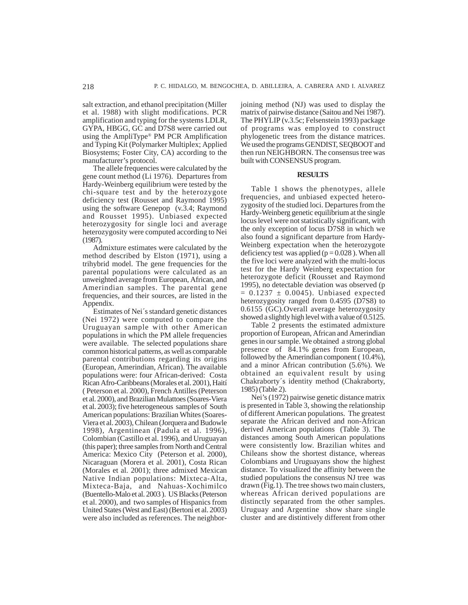salt extraction, and ethanol precipitation (Miller et al. 1988) with slight modifications. PCR amplification and typing for the systems LDLR, GYPA, HBGG, GC and D7S8 were carried out using the AmpliType® PM PCR Amplification and Typing Kit (Polymarker Multiplex; Applied Biosystems; Foster City, CA) according to the manufacturer's protocol.

The allele frequencies were calculated by the gene count method (Li 1976). Departures from Hardy-Weinberg equilibrium were tested by the chi-square test and by the heterozygote deficiency test (Rousset and Raymond 1995) using the software Genepop (v.3.4; Raymond and Rousset 1995). Unbiased expected heterozygosity for single loci and average heterozygosity were computed according to Nei (1987).

Admixture estimates were calculated by the method described by Elston (1971), using a trihybrid model. The gene frequencies for the parental populations were calculated as an unweighted average from European, African, and Amerindian samples. The parental gene frequencies, and their sources, are listed in the Appendix.

Estimates of Nei´s standard genetic distances (Nei 1972) were computed to compare the Uruguayan sample with other American populations in which the PM allele frequencies were available. The selected populations share common historical patterns, as well as comparable parental contributions regarding its origins (European, Amerindian, African). The available populations were: four African-derived: Costa Rican Afro-Caribbeans (Morales et al. 2001), Haití ( Peterson et al. 2000), French Antilles (Peterson et al. 2000), and Brazilian Mulattoes (Soares-Viera et al. 2003); five heterogeneous samples of South American populations: Brazilian Whites (Soares-Viera et al. 2003), Chilean (Jorquera and Budowle 1998), Argentinean (Padula et al. 1996), Colombian (Castillo et al. 1996), and Uruguayan (this paper); three samples from North and Central America: Mexico City (Peterson et al. 2000), Nicaraguan (Morera et al. 2001), Costa Rican (Morales et al. 2001); three admixed Mexican Native Indian populations: Mixteca-Alta, Mixteca-Baja, and Nahuas-Xochimilco (Buentello-Malo et al. 2003 ). US Blacks (Peterson et al. 2000), and two samples of Hispanics from United States (West and East) (Bertoni et al. 2003) were also included as references. The neighborjoining method (NJ) was used to display the matrix of pairwise distance (Saitou and Nei 1987). The PHYLIP (v.3.5c; Felsenstein 1993) package of programs was employed to construct phylogenetic trees from the distance matrices. We used the programs GENDIST, SEQBOOT and then run NEIGHBORN. The consensus tree was built with CONSENSUS program.

## **RESULTS**

Table 1 shows the phenotypes, allele frequencies, and unbiased expected heterozygosity of the studied loci. Departures from the Hardy-Weinberg genetic equilibrium at the single locus level were not statistically significant, with the only exception of locus D7S8 in which we also found a significant departure from Hardy-Weinberg expectation when the heterozygote deficiency test was applied ( $p = 0.028$ ). When all the five loci were analyzed with the multi-locus test for the Hardy Weinberg expectation for heterozygote deficit (Rousset and Raymond 1995), no detectable deviation was observed (p  $= 0.1237 \pm 0.0045$ ). Unbiased expected heterozygosity ranged from 0.4595 (D7S8) to 0.6155 (GC).Overall average heterozygosity showed a slightly high level with a value of 0.5125.

Table 2 presents the estimated admixture proportion of European, African and Amerindian genes in our sample. We obtained a strong global presence of 84.1% genes from European, followed by the Amerindian component ( 10.4%), and a minor African contribution (5.6%). We obtained an equivalent result by using Chakraborty´s identity method (Chakraborty, 1985) (Table 2).

Nei's (1972) pairwise genetic distance matrix is presented in Table 3, showing the relationship of different American populations. The greatest separate the African derived and non-African derived American populations (Table 3). The distances among South American populations were consistently low. Brazilian whites and Chileans show the shortest distance, whereas Colombians and Uruguayans show the highest distance. To visualized the affinity between the studied populations the consensus NJ tree was drawn (Fig.1). The tree shows two main clusters, whereas African derived populations are distinctly separated from the other samples. Uruguay and Argentine show share single cluster and are distintively different from other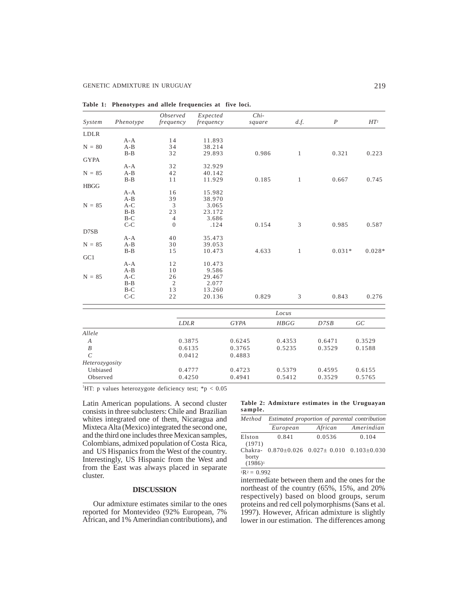| System                  | Phenotype | <i>Observed</i><br>frequency | Expected<br>frequency | $Chi-$      | square | d.f.         | $\boldsymbol{P}$ | HT <sup>1</sup> |
|-------------------------|-----------|------------------------------|-----------------------|-------------|--------|--------------|------------------|-----------------|
| LDLR                    |           |                              |                       |             |        |              |                  |                 |
|                         | $A - A$   | 14                           | 11.893                |             |        |              |                  |                 |
| $N = 80$                | $A-B$     | 34                           | 38.214                |             |        |              |                  |                 |
|                         | $B - B$   | 32                           | 29.893                |             | 0.986  | $\mathbf{1}$ | 0.321            | 0.223           |
| <b>GYPA</b>             |           |                              |                       |             |        |              |                  |                 |
|                         | $A - A$   | 32                           | 32.929                |             |        |              |                  |                 |
| $N = 85$                | $A-B$     | 42                           | 40.142                |             |        |              |                  |                 |
|                         | $B - B$   | 11                           | 11.929                |             | 0.185  | $\mathbf{1}$ | 0.667            | 0.745           |
| <b>HBGG</b>             |           |                              |                       |             |        |              |                  |                 |
|                         | $A - A$   | 16                           | 15.982                |             |        |              |                  |                 |
|                         | $A-B$     | 39                           | 38.970                |             |        |              |                  |                 |
| $N = 85$                | $A-C$     | 3                            | 3.065                 |             |        |              |                  |                 |
|                         | $B-B$     | 23                           | 23.172                |             |        |              |                  |                 |
|                         | $B-C$     | $\overline{4}$               | 3.686                 |             |        |              |                  |                 |
|                         | $C-C$     | $\theta$                     | .124                  |             | 0.154  | 3            | 0.985            | 0.587           |
| D7SB                    |           |                              |                       |             |        |              |                  |                 |
|                         | $A - A$   | 40                           | 35.473                |             |        |              |                  |                 |
| $N = 85$                | $A - B$   | 30                           | 39.053                |             |        |              |                  |                 |
|                         | $B-B$     | 15                           | 10.473                |             | 4.633  | $\mathbf{1}$ | $0.031*$         | $0.028*$        |
| GC1                     |           |                              |                       |             |        |              |                  |                 |
|                         | $A - A$   | 12                           | 10.473                |             |        |              |                  |                 |
|                         | $A-B$     | 10                           | 9.586                 |             |        |              |                  |                 |
| $N = 85$                | $A-C$     | 26                           | 29.467                |             |        |              |                  |                 |
|                         | $B-B$     | $\mathfrak{2}$               | 2.077                 |             |        |              |                  |                 |
|                         | $B-C$     | 13                           | 13.260                |             |        |              |                  |                 |
|                         | $C-C$     | 22                           | 20.136                |             | 0.829  | 3            | 0.843            | 0.276           |
|                         |           |                              |                       |             |        | Locus        |                  |                 |
|                         |           | <b>LDLR</b>                  |                       | <b>GYPA</b> |        | <b>HBGG</b>  | D7SB             | GC              |
| Allele                  |           |                              |                       |             |        |              |                  |                 |
| $\boldsymbol{A}$        |           | 0.3875                       |                       | 0.6245      |        | 0.4353       | 0.6471           | 0.3529          |
| $\cal B$                |           | 0.6135                       |                       | 0.3765      |        | 0.5235       | 0.3529           | 0.1588          |
| $\mathcal{C}_{0}^{(n)}$ |           |                              |                       | 0.4883      |        |              |                  |                 |
|                         |           | 0.0412                       |                       |             |        |              |                  |                 |

Unbiased 0.4777 0.4723 0.5379 0.4595 0.6155 Observed 0.4250 0.4941 0.5412 0.3529 0.5765

| Table 1: Phenotypes and allele frequencies at five loci. |  |  |  |  |
|----------------------------------------------------------|--|--|--|--|
|                                                          |  |  |  |  |

<sup>1</sup>HT: p values heterozygote deficiency test;  $*{\rm p} < 0.05$ 

*Heterozygosity*

Latin American populations. A second cluster consists in three subclusters: Chile and Brazilian whites integrated one of them, Nicaragua and Mixteca Alta (Mexico) integrated the second one, and the third one includes three Mexican samples, Colombians, admixed population of Costa Rica, and US Hispanics from the West of the country. Interestingly, US Hispanic from the West and from the East was always placed in separate cluster.

#### **DISCUSSION**

Our admixture estimates similar to the ones reported for Montevideo (92% European, 7% African, and 1% Amerindian contributions), and **Table 2: Admixture estimates in the Uruguayan sample.**

| Method                         | Estimated proportion of parental contribution |                                                 |            |  |  |  |  |  |  |  |
|--------------------------------|-----------------------------------------------|-------------------------------------------------|------------|--|--|--|--|--|--|--|
|                                | European                                      | African                                         | Amerindian |  |  |  |  |  |  |  |
| Elston<br>(1971)               | 0.841                                         | 0.0536                                          | 0.104      |  |  |  |  |  |  |  |
| Chakra-<br>borty<br>$(1986)^1$ |                                               | $0.870\pm0.026$ $0.027\pm0.010$ $0.103\pm0.030$ |            |  |  |  |  |  |  |  |

 $1R^2 = 0.992$ 

intermediate between them and the ones for the northeast of the country (65%, 15%, and 20% respectively) based on blood groups, serum proteins and red cell polymorphisms (Sans et al. 1997). However, African admixture is slightly lower in our estimation. The differences among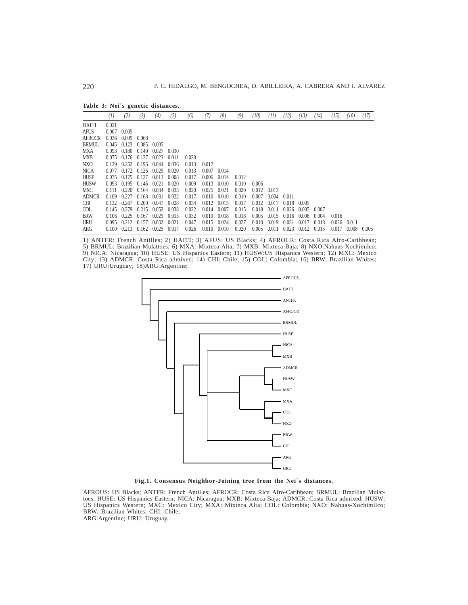**Table 3: Nei´s genetic distances.**

|               | (1)   | (2)   | (3)   | (4)   | (5)   | (6)   | (7)                 | (8)   | (9)   | (10)  | (11)  | (12)  | (13)  | (14)  | (15)  | (16)  | (17)  |
|---------------|-------|-------|-------|-------|-------|-------|---------------------|-------|-------|-------|-------|-------|-------|-------|-------|-------|-------|
| <b>HAITI</b>  | 0.021 |       |       |       |       |       |                     |       |       |       |       |       |       |       |       |       |       |
| <b>AFUS</b>   | 0.007 | 0.005 |       |       |       |       |                     |       |       |       |       |       |       |       |       |       |       |
| <b>AFROCR</b> | 0.036 | 0.099 | 0.068 |       |       |       |                     |       |       |       |       |       |       |       |       |       |       |
| <b>BRMUL</b>  | 0.045 | 0.123 | 0.085 | 0.005 |       |       |                     |       |       |       |       |       |       |       |       |       |       |
| <b>MXA</b>    | 0.093 | 0.180 | 0.140 | 0.027 | 0.030 |       |                     |       |       |       |       |       |       |       |       |       |       |
| <b>MXB</b>    | 0.075 | 0.176 | 0.127 | 0.023 | 0.011 | 0.020 |                     |       |       |       |       |       |       |       |       |       |       |
| NXO           | 0.129 | 0.252 | 0.196 | 0.044 | 0.036 | 0.013 | 0.012               |       |       |       |       |       |       |       |       |       |       |
| <b>NICA</b>   | 0.077 | 0.172 | 0.126 | 0.029 | 0.020 | 0.013 | 0.007               | 0.014 |       |       |       |       |       |       |       |       |       |
| <b>HUSE</b>   | 0.075 | 0.175 | 0.127 | 0.013 | 0.008 | 0.017 | 0.006               | 0.014 | 0.012 |       |       |       |       |       |       |       |       |
| <b>HUSW</b>   | 0.093 | 0.195 | 0.146 | 0.021 | 0.020 | 0.009 | 0.013               | 0.010 | 0.010 | 0.006 |       |       |       |       |       |       |       |
| <b>MXC</b>    | 0.111 | 0.220 | 0.164 | 0.034 | 0.033 | 0.020 | 0.025               | 0.021 | 0.020 | 0.012 | 0.013 |       |       |       |       |       |       |
| <b>ADMCR</b>  | 0.109 | 0.227 | 0.168 | 0.031 | 0.022 | 0.017 | 0.010               | 0.010 | 0.010 | 0.007 | 0.004 | 0.011 |       |       |       |       |       |
| <b>CHI</b>    | 0.132 | 0.267 | 0.200 | 0.047 | 0.028 | 0.034 | $0.012 \quad 0.015$ |       | 0.017 | 0.012 | 0.017 | 0.018 | 0.005 |       |       |       |       |
| COL           | 0.145 | 0.279 | 0.215 | 0.052 | 0.038 | 0.022 | 0.014               | 0.007 | 0.015 | 0.018 | 0.011 | 0.026 | 0.005 | 0.007 |       |       |       |
| <b>BRW</b>    | 0.106 | 0.225 | 0.167 | 0.029 | 0.015 | 0.032 | $0.010 \quad 0.018$ |       | 0.018 | 0.005 | 0.015 | 0.016 | 0.008 | 0.004 | 0.016 |       |       |
| <b>URU</b>    | 0.095 | 0.212 | 0.157 | 0.032 | 0.021 | 0.047 | 0.015               | 0.024 | 0.027 | 0.010 | 0.019 | 0.031 | 0.017 | 0.018 | 0.026 | 0.011 |       |
| ARG           | 0.100 | 0.213 | 0.162 | 0.025 | 0.017 | 0.026 | $0.010 \quad 0.010$ |       | 0.020 | 0.005 | 0.011 | 0.023 | 0.012 | 0.015 | 0.017 | 0.008 | 0.005 |

1) ANTFR: French Antilles; 2) HAITI; 3) AFUS: US Blacks; 4) AFROCR: Costa Rica Afro-Caribbean; 5) BRMUL: Brazilian Mulattoes; 6) MXA: Mixteca-Alta; 7) MXB: Mixteca-Baja; 8) NXO:Nahuas-Xochimilco; 9) NICA: Nicaragua; 10) HUSE: US Hispanics Eastern; 11) HUSW:US Hispanics Western; 12) MXC: Mexico City; 13) ADMCR: Costa Rica admixed; 14) CHI: Chile; 15) COL: Colombia; 16) BRW: Brazilian Whites; 17) URU:Uruguay; 18)ARG:Argentine;



**Fig.1. Consensus Neighbor-Joining tree from the Nei´s distances.**

AFROUS: US Blacks; ANTFR: French Antilles; AFROCR: Costa Rica Afro-Caribbean; BRMUL: Brazilian Mulattoes; HUSE: US Hispanics Eastern; NICA: Nicaragua; MXB: Mixteca-Baja; ADMCR: Costa Rica admixed; HUSW: US Hispanics Western; MXC: Mexico City; MXA: Mixteca Alta; COL: Colombia; NXO: Nahuas-Xochimilco; BRW: Brazilian Whites; CHI: Chile;

ARG:Argentine; URU: Uruguay.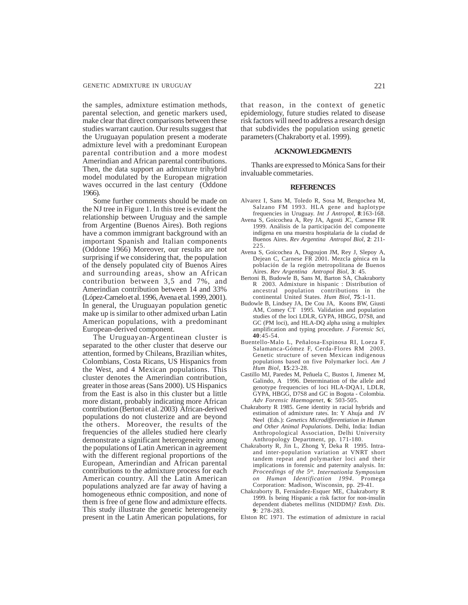the samples, admixture estimation methods, parental selection, and genetic markers used, make clear that direct comparisons between these studies warrant caution. Our results suggest that the Uruguayan population present a moderate admixture level with a predominant European parental contribution and a more modest Amerindian and African parental contributions. Then, the data support an admixture trihybrid model modulated by the European migration waves occurred in the last century (Oddone 1966).

Some further comments should be made on the NJ tree in Figure 1. In this tree is evident the relationship between Uruguay and the sample from Argentine (Buenos Aires). Both regions have a common immigrant background with an important Spanish and Italian components (Oddone 1966) Moreover, our results are not surprising if we considering that, the population of the densely populated city of Buenos Aires and surrounding areas, show an African contribution between 3,5 and 7%, and Amerindian contribution between 14 and 33% (López-Camelo et al. 1996, Avena et al. 1999, 2001). In general, the Uruguayan population genetic make up is similar to other admixed urban Latin American populations, with a predominant European-derived component.

The Uruguayan-Argentinean cluster is separated to the other cluster that deserve our attention, formed by Chileans, Brazilian whites, Colombians, Costa Ricans, US Hispanics from the West, and 4 Mexican populations. This cluster denotes the Amerindian contribution, greater in those areas (Sans 2000). US Hispanics from the East is also in this cluster but a little more distant, probably indicating more African contribution (Bertoni et al. 2003) African-derived populations do not clusterize and are beyond the others. Moreover, the results of the frequencies of the alleles studied here clearly demonstrate a significant heterogeneity among the populations of Latin American in agreement with the different regional proportions of the European, Amerindian and African parental contributions to the admixture process for each American country. All the Latin American populations analyzed are far away of having a homogeneous ethnic composition, and none of them is free of gene flow and admixture effects. This study illustrate the genetic heterogeneity present in the Latin American populations, for

that reason, in the context of genetic epidemiology, future studies related to disease risk factors will need to address a research design that subdivides the population using genetic parameters (Chakraborty et al. 1999).

### **ACKNOWLEDGMENTS**

Thanks are expressed to Mónica Sans for their invaluable commetaries.

#### **REFERENCES**

- Alvarez I, Sans M, Toledo R, Sosa M, Bengochea M, Salzano FM 1993. HLA gene and haplotype frequencies in Uruguay. *Int J Antropol*, **8**:163-168.
- Avena S, Goicochea A, Rey JA, Agosti JC, Carnese FR 1999. Análisis de la participación del componente indígena en una muestra hospitalaria de la ciudad de Buenos Aires. *Rev Argentina Antropol Biol*, **2**: 211- 225.
- Avena S, Goicochea A, Dugoujon JM, Rey J, Slepoy A, Dejean C, Carnese FR 2001. Mezcla génica en la población de la región metropolitana de Buenos Aires. *Rev Argentina Antropol Biol*, **3**: 45.
- Bertoni B, Budowle B, Sans M, Barton SA, Chakraborty R 2003. Admixture in hispanic : Distribution of ancestral population contributions in the continental United States. *Hum Biol*, **75**:1-11.
- Budowle B, Lindsey JA, De Cou JA, Koons BW, Giusti AM, Comey CT 1995. Validation and population studies of the loci LDLR, GYPA, HBGG, D7S8, and GC (PM loci), and HLA-DQ alpha using a multiplex amplification and typing procedure. *J Forensic Sci*, **40**:45-54.
- Buentello-Malo L, Peñalosa-Espinosa RI, Loeza F, Salamanca-Gómez F, Cerda-Flores RM 2003. Genetic structure of seven Mexican indigenous populations based on five Polymarker loci. *Am J Hum Biol*, **15**:23-28.
- Castillo MJ, Paredes M, Peñuela C, Bustos I, Jimenez M, Galindo, A 1996. Determination of the allele and genotype frequencies of loci HLA-DQA1, LDLR, GYPA, HBGG, D7S8 and GC in Bogota - Colombia. *Adv Forensic Haemogenet*, **6**: 503-505.
- Chakraborty R 1985. Gene identity in racial hybrids and estimation of admixture rates. In: Y Ahuja and JV Neel (Eds.): *Genetics Microdifferentiation in Human and Other Animal Populations*. Delhi, India: Indian Anthropological Association, Delhi University Anthropology Department, pp. 171-180.
- Chakraborty R, Jin L, Zhong Y, Deka R 1995. Intraand inter-population variation at VNRT short tandem repeat and polymarker loci and their implications in forensic and paternity analysis. In: *Proceedings of the 5th. Internationla Symposium on Human Identification 1994*. Promega Corporation: Madison, Wisconsin, pp. 29-41.
- Chakraborty B, Fernández-Esquer ME, Chakraborty R 1999. Is being Hispanic a risk factor for non-insulin dependent diabetes mellitus (NIDDM)? *Etnh. Dis*. **9**: 278-283.
- Elston RC 1971. The estimation of admixture in racial